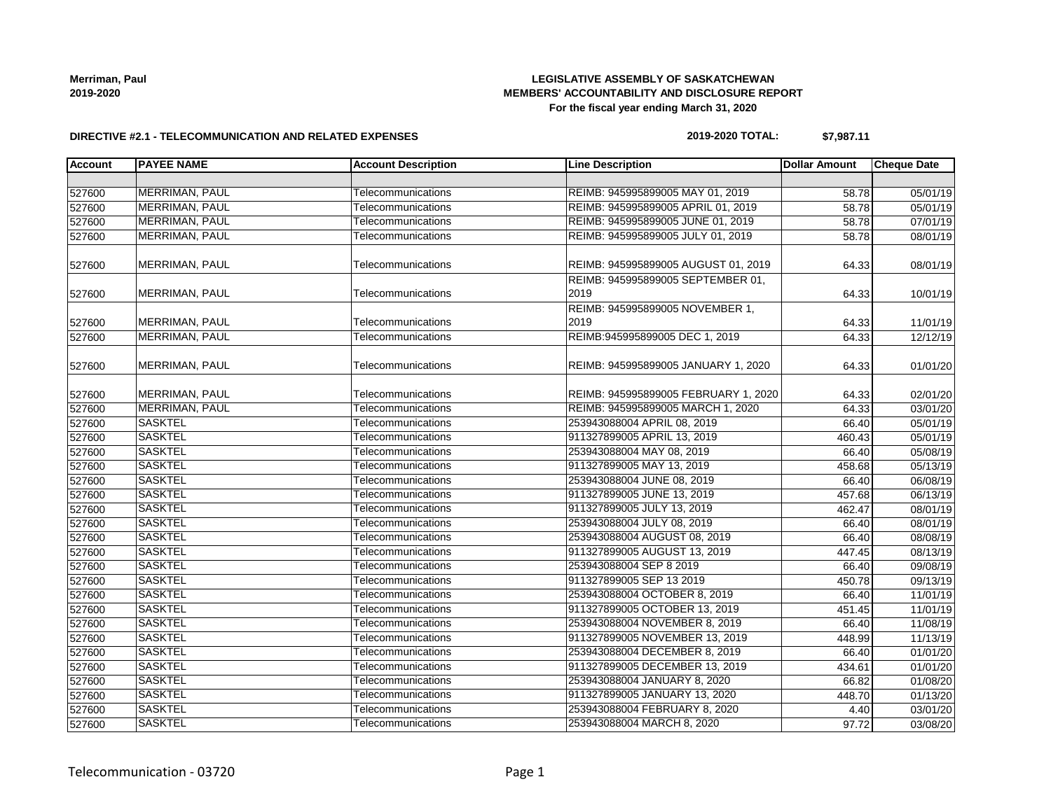# **LEGISLATIVE ASSEMBLY OF SASKATCHEWAN MEMBERS' ACCOUNTABILITY AND DISCLOSURE REPORT For the fiscal year ending March 31, 2020**

#### **DIRECTIVE #2.1 - TELECOMMUNICATION AND RELATED EXPENSES**

#### **2019-2020 TOTAL: \$7,987.11**

| <b>Account</b> | <b>PAYEE NAME</b>     | <b>Account Description</b> | <b>Line Description</b>                   | <b>Dollar Amount</b> | <b>Cheque Date</b> |
|----------------|-----------------------|----------------------------|-------------------------------------------|----------------------|--------------------|
|                |                       |                            |                                           |                      |                    |
| 527600         | MERRIMAN, PAUL        | Telecommunications         | REIMB: 945995899005 MAY 01, 2019          | 58.78                | 05/01/19           |
| 527600         | MERRIMAN, PAUL        | Telecommunications         | REIMB: 945995899005 APRIL 01, 2019        | 58.78                | 05/01/19           |
| 527600         | MERRIMAN, PAUL        | Telecommunications         | REIMB: 945995899005 JUNE 01, 2019         | 58.78                | 07/01/19           |
| 527600         | MERRIMAN, PAUL        | Telecommunications         | REIMB: 945995899005 JULY 01, 2019         | 58.78                | 08/01/19           |
| 527600         | MERRIMAN, PAUL        | Telecommunications         | REIMB: 945995899005 AUGUST 01, 2019       | 64.33                | 08/01/19           |
| 527600         | <b>MERRIMAN, PAUL</b> | Telecommunications         | REIMB: 945995899005 SEPTEMBER 01,<br>2019 | 64.33                | 10/01/19           |
| 527600         | MERRIMAN, PAUL        | Telecommunications         | REIMB: 945995899005 NOVEMBER 1,<br>2019   | 64.33                | 11/01/19           |
| 527600         | <b>MERRIMAN, PAUL</b> | Telecommunications         | REIMB:945995899005 DEC 1, 2019            | 64.33                | 12/12/19           |
| 527600         | MERRIMAN, PAUL        | Telecommunications         | REIMB: 945995899005 JANUARY 1, 2020       | 64.33                | 01/01/20           |
| 527600         | MERRIMAN, PAUL        | Telecommunications         | REIMB: 945995899005 FEBRUARY 1, 2020      | 64.33                | 02/01/20           |
| 527600         | MERRIMAN, PAUL        | Telecommunications         | REIMB: 945995899005 MARCH 1, 2020         | 64.33                | 03/01/20           |
| 527600         | <b>SASKTEL</b>        | Telecommunications         | 253943088004 APRIL 08, 2019               | 66.40                | 05/01/19           |
| 527600         | <b>SASKTEL</b>        | Telecommunications         | 911327899005 APRIL 13, 2019               | 460.43               | 05/01/19           |
| 527600         | <b>SASKTEL</b>        | Telecommunications         | 253943088004 MAY 08, 2019                 | 66.40                | 05/08/19           |
| 527600         | <b>SASKTEL</b>        | Telecommunications         | 911327899005 MAY 13, 2019                 | 458.68               | 05/13/19           |
| 527600         | <b>SASKTEL</b>        | Telecommunications         | 253943088004 JUNE 08, 2019                | 66.40                | 06/08/19           |
| 527600         | <b>SASKTEL</b>        | Telecommunications         | 911327899005 JUNE 13, 2019                | 457.68               | 06/13/19           |
| 527600         | <b>SASKTEL</b>        | Telecommunications         | 911327899005 JULY 13, 2019                | 462.47               | 08/01/19           |
| 527600         | <b>SASKTEL</b>        | Telecommunications         | 253943088004 JULY 08, 2019                | 66.40                | 08/01/19           |
| 527600         | <b>SASKTEL</b>        | Telecommunications         | 253943088004 AUGUST 08, 2019              | 66.40                | 08/08/19           |
| 527600         | <b>SASKTEL</b>        | Telecommunications         | 911327899005 AUGUST 13, 2019              | 447.45               | 08/13/19           |
| 527600         | <b>SASKTEL</b>        | Telecommunications         | 253943088004 SEP 8 2019                   | 66.40                | 09/08/19           |
| 527600         | <b>SASKTEL</b>        | Telecommunications         | 911327899005 SEP 13 2019                  | 450.78               | 09/13/19           |
| 527600         | <b>SASKTEL</b>        | Telecommunications         | 253943088004 OCTOBER 8, 2019              | 66.40                | 11/01/19           |
| 527600         | <b>SASKTEL</b>        | Telecommunications         | 911327899005 OCTOBER 13, 2019             | 451.45               | 11/01/19           |
| 527600         | <b>SASKTEL</b>        | Telecommunications         | 253943088004 NOVEMBER 8, 2019             | 66.40                | 11/08/19           |
| 527600         | <b>SASKTEL</b>        | Telecommunications         | 911327899005 NOVEMBER 13, 2019            | 448.99               | 11/13/19           |
| 527600         | <b>SASKTEL</b>        | Telecommunications         | 253943088004 DECEMBER 8, 2019             | 66.40                | 01/01/20           |
| 527600         | <b>SASKTEL</b>        | Telecommunications         | 911327899005 DECEMBER 13, 2019            | 434.61               | 01/01/20           |
| 527600         | <b>SASKTEL</b>        | Telecommunications         | 253943088004 JANUARY 8, 2020              | 66.82                | 01/08/20           |
| 527600         | <b>SASKTEL</b>        | Telecommunications         | 911327899005 JANUARY 13, 2020             | 448.70               | 01/13/20           |
| 527600         | <b>SASKTEL</b>        | Telecommunications         | 253943088004 FEBRUARY 8, 2020             | 4.40                 | 03/01/20           |
| 527600         | <b>SASKTEL</b>        | Telecommunications         | 253943088004 MARCH 8, 2020                | 97.72                | 03/08/20           |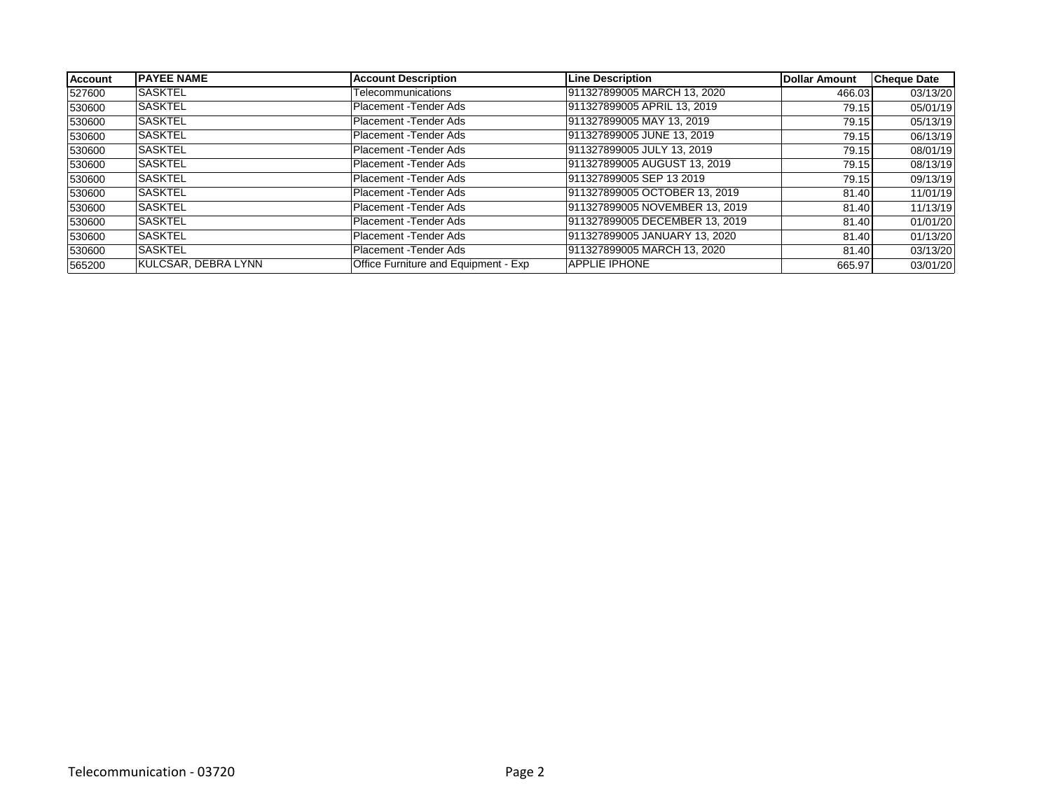| <b>Account</b> | <b>IPAYEE NAME</b>  | <b>Account Description</b>           | Line Description               | <b>Dollar Amount</b> | <b>Cheque Date</b> |
|----------------|---------------------|--------------------------------------|--------------------------------|----------------------|--------------------|
| 527600         | <b>SASKTEL</b>      | Telecommunications                   | 911327899005 MARCH 13, 2020    | 466.03               | 03/13/20           |
| 530600         | <b>SASKTEL</b>      | Placement - Tender Ads               | 911327899005 APRIL 13, 2019    | 79.15                | 05/01/19           |
| 530600         | <b>SASKTEL</b>      | Placement - Tender Ads               | 911327899005 MAY 13, 2019      | 79.15                | 05/13/19           |
| 530600         | <b>SASKTEL</b>      | Placement - Tender Ads               | 911327899005 JUNE 13, 2019     | 79.15                | 06/13/19           |
| 530600         | <b>SASKTEL</b>      | Placement - Tender Ads               | 911327899005 JULY 13, 2019     | 79.15                | 08/01/19           |
| 530600         | <b>SASKTEL</b>      | Placement - Tender Ads               | 911327899005 AUGUST 13, 2019   | 79.15                | 08/13/19           |
| 530600         | <b>SASKTEL</b>      | Placement - Tender Ads               | 911327899005 SEP 13 2019       | 79.15                | 09/13/19           |
| 530600         | <b>SASKTEL</b>      | Placement - Tender Ads               | 911327899005 OCTOBER 13, 2019  | 81.40                | 11/01/19           |
| 530600         | <b>SASKTEL</b>      | Placement - Tender Ads               | 911327899005 NOVEMBER 13, 2019 | 81.40                | 11/13/19           |
| 530600         | <b>SASKTEL</b>      | Placement - Tender Ads               | 911327899005 DECEMBER 13, 2019 | 81.40                | 01/01/20           |
| 530600         | <b>SASKTEL</b>      | Placement - Tender Ads               | 911327899005 JANUARY 13, 2020  | 81.40                | 01/13/20           |
| 530600         | <b>SASKTEL</b>      | Placement - Tender Ads               | 911327899005 MARCH 13, 2020    | 81.40                | 03/13/20           |
| 565200         | KULCSAR, DEBRA LYNN | Office Furniture and Equipment - Exp | <b>APPLIE IPHONE</b>           | 665.97               | 03/01/20           |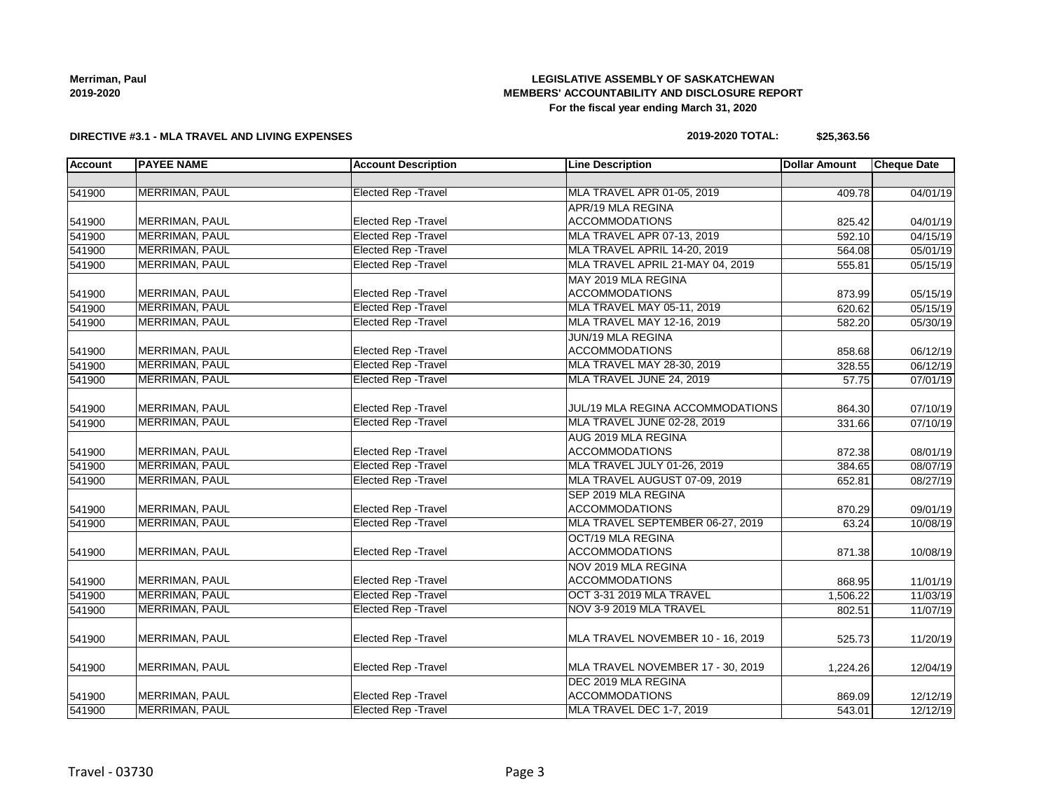## **LEGISLATIVE ASSEMBLY OF SASKATCHEWAN MEMBERS' ACCOUNTABILITY AND DISCLOSURE REPORT For the fiscal year ending March 31, 2020**

#### **DIRECTIVE #3.1 - MLA TRAVEL AND LIVING EXPENSES**

#### **2019-2020 TOTAL: \$25,363.56**

| <b>Account</b> | <b>PAYEE NAME</b>     | <b>Account Description</b>  | <b>Line Description</b>           | <b>Dollar Amount</b> | <b>Cheque Date</b> |
|----------------|-----------------------|-----------------------------|-----------------------------------|----------------------|--------------------|
|                |                       |                             |                                   |                      |                    |
| 541900         | <b>MERRIMAN, PAUL</b> | <b>Elected Rep - Travel</b> | MLA TRAVEL APR 01-05, 2019        | 409.78               | 04/01/19           |
|                |                       |                             | APR/19 MLA REGINA                 |                      |                    |
| 541900         | MERRIMAN, PAUL        | <b>Elected Rep - Travel</b> | <b>ACCOMMODATIONS</b>             | 825.42               | 04/01/19           |
| 541900         | MERRIMAN, PAUL        | <b>Elected Rep - Travel</b> | MLA TRAVEL APR 07-13, 2019        | 592.10               | 04/15/19           |
| 541900         | MERRIMAN, PAUL        | <b>Elected Rep - Travel</b> | MLA TRAVEL APRIL 14-20, 2019      | 564.08               | 05/01/19           |
| 541900         | MERRIMAN, PAUL        | <b>Elected Rep - Travel</b> | MLA TRAVEL APRIL 21-MAY 04, 2019  | 555.81               | 05/15/19           |
|                |                       |                             | MAY 2019 MLA REGINA               |                      |                    |
| 541900         | MERRIMAN, PAUL        | <b>Elected Rep - Travel</b> | <b>ACCOMMODATIONS</b>             | 873.99               | 05/15/19           |
| 541900         | MERRIMAN, PAUL        | <b>Elected Rep - Travel</b> | MLA TRAVEL MAY 05-11, 2019        | 620.62               | 05/15/19           |
| 541900         | <b>MERRIMAN, PAUL</b> | <b>Elected Rep - Travel</b> | MLA TRAVEL MAY 12-16, 2019        | 582.20               | 05/30/19           |
|                |                       |                             | JUN/19 MLA REGINA                 |                      |                    |
| 541900         | MERRIMAN, PAUL        | <b>Elected Rep - Travel</b> | <b>ACCOMMODATIONS</b>             | 858.68               | 06/12/19           |
| 541900         | MERRIMAN, PAUL        | <b>Elected Rep - Travel</b> | MLA TRAVEL MAY 28-30, 2019        | 328.55               | 06/12/19           |
| 541900         | MERRIMAN, PAUL        | <b>Elected Rep - Travel</b> | MLA TRAVEL JUNE 24, 2019          | 57.75                | 07/01/19           |
|                |                       |                             |                                   |                      |                    |
| 541900         | MERRIMAN, PAUL        | Elected Rep - Travel        | JUL/19 MLA REGINA ACCOMMODATIONS  | 864.30               | 07/10/19           |
| 541900         | <b>MERRIMAN, PAUL</b> | <b>Elected Rep - Travel</b> | MLA TRAVEL JUNE 02-28, 2019       | 331.66               | 07/10/19           |
|                |                       |                             | AUG 2019 MLA REGINA               |                      |                    |
| 541900         | MERRIMAN, PAUL        | Elected Rep - Travel        | <b>ACCOMMODATIONS</b>             | 872.38               | 08/01/19           |
| 541900         | <b>MERRIMAN, PAUL</b> | <b>Elected Rep - Travel</b> | MLA TRAVEL JULY 01-26, 2019       | 384.65               | 08/07/19           |
| 541900         | <b>MERRIMAN, PAUL</b> | <b>Elected Rep - Travel</b> | MLA TRAVEL AUGUST 07-09, 2019     | 652.81               | 08/27/19           |
|                |                       |                             | SEP 2019 MLA REGINA               |                      |                    |
| 541900         | MERRIMAN, PAUL        | <b>Elected Rep - Travel</b> | <b>ACCOMMODATIONS</b>             | 870.29               | 09/01/19           |
| 541900         | MERRIMAN, PAUL        | <b>Elected Rep - Travel</b> | MLA TRAVEL SEPTEMBER 06-27, 2019  | 63.24                | 10/08/19           |
|                |                       |                             | OCT/19 MLA REGINA                 |                      |                    |
| 541900         | MERRIMAN, PAUL        | Elected Rep - Travel        | <b>ACCOMMODATIONS</b>             | 871.38               | 10/08/19           |
|                |                       |                             | NOV 2019 MLA REGINA               |                      |                    |
| 541900         | MERRIMAN, PAUL        | <b>Elected Rep - Travel</b> | <b>ACCOMMODATIONS</b>             | 868.95               | 11/01/19           |
| 541900         | MERRIMAN, PAUL        | <b>Elected Rep - Travel</b> | OCT 3-31 2019 MLA TRAVEL          | 1,506.22             | 11/03/19           |
| 541900         | <b>MERRIMAN, PAUL</b> | <b>Elected Rep - Travel</b> | NOV 3-9 2019 MLA TRAVEL           | 802.51               | 11/07/19           |
|                |                       |                             |                                   |                      |                    |
| 541900         | MERRIMAN, PAUL        | <b>Elected Rep - Travel</b> | MLA TRAVEL NOVEMBER 10 - 16, 2019 | 525.73               | 11/20/19           |
|                |                       |                             |                                   |                      |                    |
| 541900         | MERRIMAN, PAUL        | <b>Elected Rep - Travel</b> | MLA TRAVEL NOVEMBER 17 - 30, 2019 | 1,224.26             | 12/04/19           |
|                |                       |                             | DEC 2019 MLA REGINA               |                      |                    |
| 541900         | MERRIMAN, PAUL        | Elected Rep - Travel        | <b>ACCOMMODATIONS</b>             | 869.09               | 12/12/19           |
| 541900         | MERRIMAN, PAUL        | <b>Elected Rep - Travel</b> | MLA TRAVEL DEC 1-7, 2019          | 543.01               | 12/12/19           |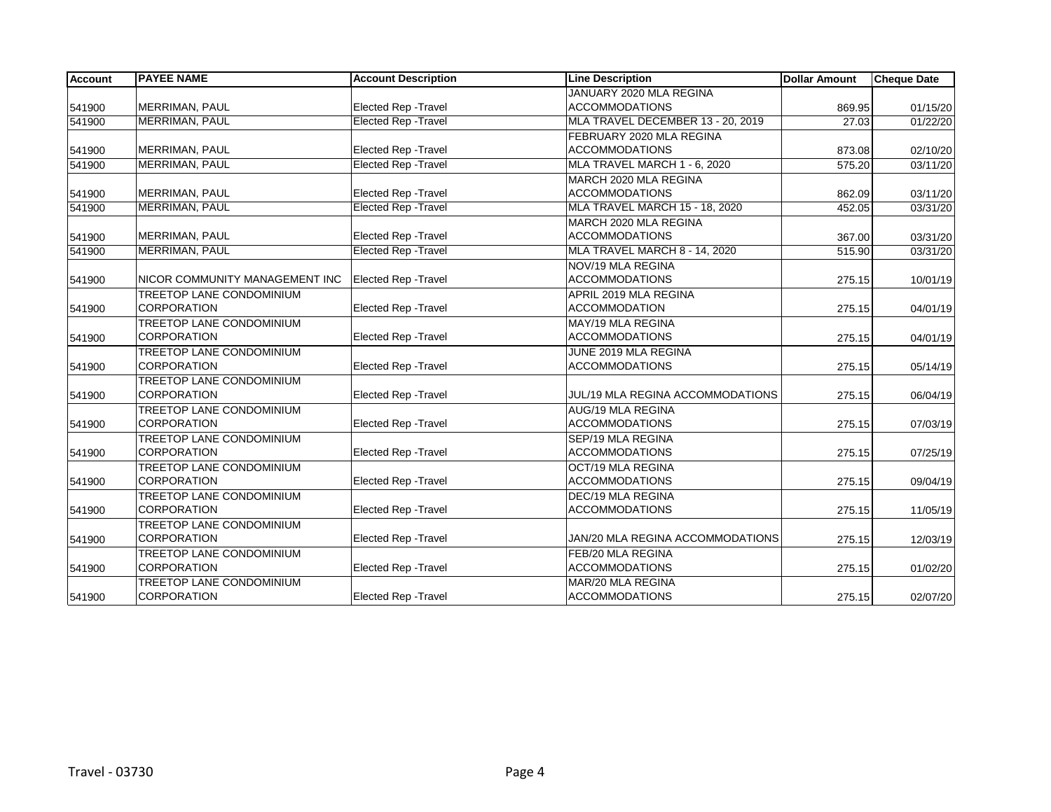| <b>Account</b> | <b>PAYEE NAME</b>               | <b>Account Description</b>  | <b>Line Description</b>           | Dollar Amount | <b>Cheque Date</b> |
|----------------|---------------------------------|-----------------------------|-----------------------------------|---------------|--------------------|
|                |                                 |                             | JANUARY 2020 MLA REGINA           |               |                    |
| 541900         | MERRIMAN, PAUL                  | Elected Rep - Travel        | <b>ACCOMMODATIONS</b>             | 869.95        | 01/15/20           |
| 541900         | MERRIMAN, PAUL                  | <b>Elected Rep - Travel</b> | MLA TRAVEL DECEMBER 13 - 20, 2019 | 27.03         | 01/22/20           |
|                |                                 |                             | FEBRUARY 2020 MLA REGINA          |               |                    |
| 541900         | MERRIMAN, PAUL                  | Elected Rep - Travel        | <b>ACCOMMODATIONS</b>             | 873.08        | 02/10/20           |
| 541900         | <b>MERRIMAN, PAUL</b>           | <b>Elected Rep - Travel</b> | MLA TRAVEL MARCH 1 - 6, 2020      | 575.20        | 03/11/20           |
|                |                                 |                             | MARCH 2020 MLA REGINA             |               |                    |
| 541900         | MERRIMAN, PAUL                  | Elected Rep - Travel        | <b>ACCOMMODATIONS</b>             | 862.09        | 03/11/20           |
| 541900         | <b>MERRIMAN, PAUL</b>           | <b>Elected Rep - Travel</b> | MLA TRAVEL MARCH 15 - 18, 2020    | 452.05        | 03/31/20           |
|                |                                 |                             | MARCH 2020 MLA REGINA             |               |                    |
| 541900         | MERRIMAN, PAUL                  | Elected Rep - Travel        | <b>ACCOMMODATIONS</b>             | 367.00        | 03/31/20           |
| 541900         | MERRIMAN, PAUL                  | <b>Elected Rep - Travel</b> | MLA TRAVEL MARCH 8 - 14, 2020     | 515.90        | 03/31/20           |
|                |                                 |                             | NOV/19 MLA REGINA                 |               |                    |
| 541900         | NICOR COMMUNITY MANAGEMENT INC  | Elected Rep - Travel        | <b>ACCOMMODATIONS</b>             | 275.15        | 10/01/19           |
|                | <b>TREETOP LANE CONDOMINIUM</b> |                             | APRIL 2019 MLA REGINA             |               |                    |
| 541900         | <b>CORPORATION</b>              | Elected Rep - Travel        | <b>ACCOMMODATION</b>              | 275.15        | 04/01/19           |
|                | <b>TREETOP LANE CONDOMINIUM</b> |                             | MAY/19 MLA REGINA                 |               |                    |
| 541900         | <b>CORPORATION</b>              | <b>Elected Rep - Travel</b> | <b>ACCOMMODATIONS</b>             | 275.15        | 04/01/19           |
|                | <b>TREETOP LANE CONDOMINIUM</b> |                             | JUNE 2019 MLA REGINA              |               |                    |
| 541900         | CORPORATION                     | Elected Rep - Travel        | <b>ACCOMMODATIONS</b>             | 275.15        | 05/14/19           |
|                | <b>TREETOP LANE CONDOMINIUM</b> |                             |                                   |               |                    |
| 541900         | <b>CORPORATION</b>              | <b>Elected Rep - Travel</b> | JUL/19 MLA REGINA ACCOMMODATIONS  | 275.15        | 06/04/19           |
|                | TREETOP LANE CONDOMINIUM        |                             | AUG/19 MLA REGINA                 |               |                    |
| 541900         | CORPORATION                     | <b>Elected Rep - Travel</b> | <b>ACCOMMODATIONS</b>             | 275.15        | 07/03/19           |
|                | <b>TREETOP LANE CONDOMINIUM</b> |                             | SEP/19 MLA REGINA                 |               |                    |
| 541900         | <b>CORPORATION</b>              | Elected Rep - Travel        | <b>ACCOMMODATIONS</b>             | 275.15        | 07/25/19           |
|                | <b>TREETOP LANE CONDOMINIUM</b> |                             | OCT/19 MLA REGINA                 |               |                    |
| 541900         | <b>CORPORATION</b>              | Elected Rep - Travel        | <b>ACCOMMODATIONS</b>             | 275.15        | 09/04/19           |
|                | TREETOP LANE CONDOMINIUM        |                             | DEC/19 MLA REGINA                 |               |                    |
| 541900         | <b>CORPORATION</b>              | Elected Rep - Travel        | <b>ACCOMMODATIONS</b>             | 275.15        | 11/05/19           |
|                | TREETOP LANE CONDOMINIUM        |                             |                                   |               |                    |
| 541900         | CORPORATION                     | Elected Rep - Travel        | JAN/20 MLA REGINA ACCOMMODATIONS  | 275.15        | 12/03/19           |
|                | TREETOP LANE CONDOMINIUM        |                             | FEB/20 MLA REGINA                 |               |                    |
| 541900         | <b>CORPORATION</b>              | Elected Rep - Travel        | <b>ACCOMMODATIONS</b>             | 275.15        | 01/02/20           |
|                | TREETOP LANE CONDOMINIUM        |                             | MAR/20 MLA REGINA                 |               |                    |
| 541900         | <b>CORPORATION</b>              | Elected Rep - Travel        | <b>ACCOMMODATIONS</b>             | 275.15        | 02/07/20           |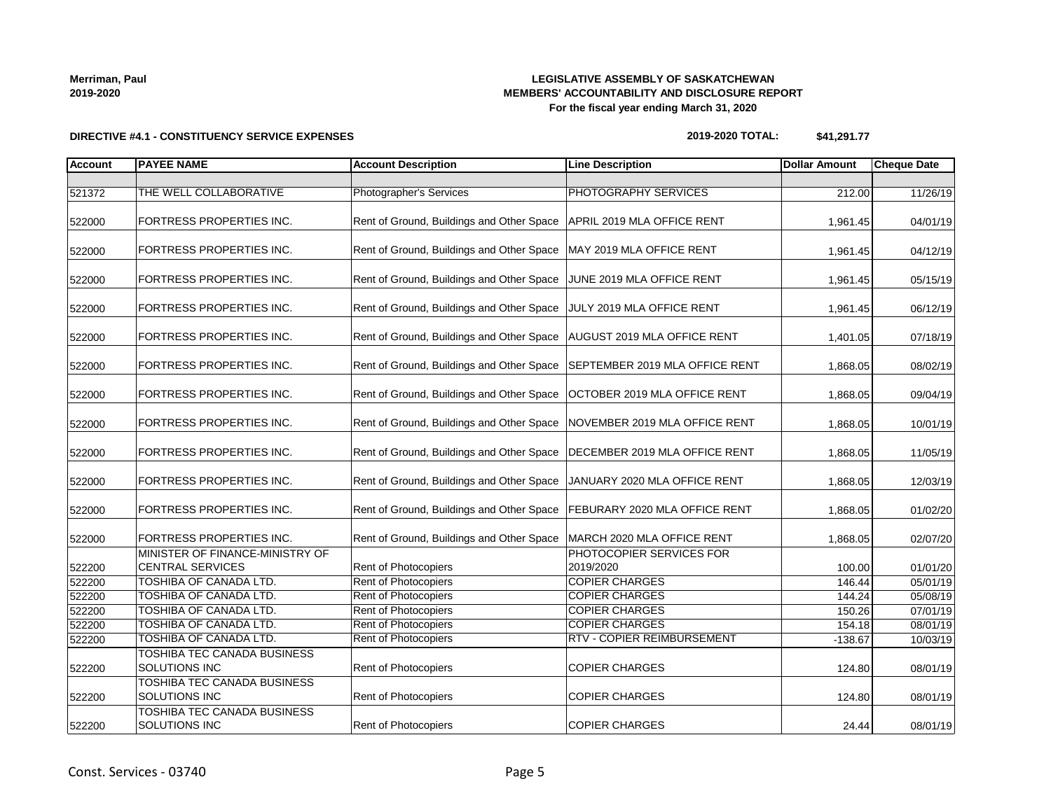# **DIRECTIVE #4.1 - CONSTITUENCY SERVICE EXPENSES**

# **LEGISLATIVE ASSEMBLY OF SASKATCHEWAN MEMBERS' ACCOUNTABILITY AND DISCLOSURE REPORT For the fiscal year ending March 31, 2020**

**2019-2020 TOTAL: \$41,291.77**

| <b>Account</b> | <b>PAYEE NAME</b>                                          | <b>Account Description</b>                                                | <b>Line Description</b>               | <b>Dollar Amount</b> | <b>Cheque Date</b> |
|----------------|------------------------------------------------------------|---------------------------------------------------------------------------|---------------------------------------|----------------------|--------------------|
|                |                                                            |                                                                           |                                       |                      |                    |
| 521372         | THE WELL COLLABORATIVE                                     | <b>Photographer's Services</b>                                            | PHOTOGRAPHY SERVICES                  | 212.00               | 11/26/19           |
| 522000         | FORTRESS PROPERTIES INC.                                   | Rent of Ground, Buildings and Other Space                                 | APRIL 2019 MLA OFFICE RENT            | 1,961.45             | 04/01/19           |
| 522000         | FORTRESS PROPERTIES INC.                                   | Rent of Ground, Buildings and Other Space                                 | MAY 2019 MLA OFFICE RENT              | 1,961.45             | 04/12/19           |
| 522000         | FORTRESS PROPERTIES INC.                                   | Rent of Ground, Buildings and Other Space                                 | JUNE 2019 MLA OFFICE RENT             | 1,961.45             | 05/15/19           |
| 522000         | <b>FORTRESS PROPERTIES INC.</b>                            | Rent of Ground, Buildings and Other Space JULY 2019 MLA OFFICE RENT       |                                       | 1,961.45             | 06/12/19           |
| 522000         | FORTRESS PROPERTIES INC.                                   | Rent of Ground, Buildings and Other Space   AUGUST 2019 MLA OFFICE RENT   |                                       | 1,401.05             | 07/18/19           |
| 522000         | <b>FORTRESS PROPERTIES INC.</b>                            | Rent of Ground, Buildings and Other Space                                 | SEPTEMBER 2019 MLA OFFICE RENT        | 1,868.05             | 08/02/19           |
| 522000         | <b>FORTRESS PROPERTIES INC.</b>                            | Rent of Ground, Buildings and Other Space                                 | OCTOBER 2019 MLA OFFICE RENT          | 1,868.05             | 09/04/19           |
| 522000         | <b>FORTRESS PROPERTIES INC.</b>                            | Rent of Ground, Buildings and Other Space                                 | NOVEMBER 2019 MLA OFFICE RENT         | 1,868.05             | 10/01/19           |
| 522000         | FORTRESS PROPERTIES INC.                                   | Rent of Ground, Buildings and Other Space                                 | DECEMBER 2019 MLA OFFICE RENT         | 1,868.05             | 11/05/19           |
| 522000         | FORTRESS PROPERTIES INC.                                   | Rent of Ground, Buildings and Other Space                                 | JANUARY 2020 MLA OFFICE RENT          | 1,868.05             | 12/03/19           |
| 522000         | FORTRESS PROPERTIES INC.                                   | Rent of Ground, Buildings and Other Space   FEBURARY 2020 MLA OFFICE RENT |                                       | 1,868.05             | 01/02/20           |
| 522000         | <b>FORTRESS PROPERTIES INC.</b>                            | Rent of Ground, Buildings and Other Space                                 | MARCH 2020 MLA OFFICE RENT            | 1,868.05             | 02/07/20           |
| 522200         | MINISTER OF FINANCE-MINISTRY OF<br><b>CENTRAL SERVICES</b> | <b>Rent of Photocopiers</b>                                               | PHOTOCOPIER SERVICES FOR<br>2019/2020 | 100.00               | 01/01/20           |
| 522200         | TOSHIBA OF CANADA LTD.                                     | <b>Rent of Photocopiers</b>                                               | <b>COPIER CHARGES</b>                 | 146.44               | 05/01/19           |
| 522200         | TOSHIBA OF CANADA LTD.                                     | Rent of Photocopiers                                                      | <b>COPIER CHARGES</b>                 | 144.24               | 05/08/19           |
| 522200         | TOSHIBA OF CANADA LTD.                                     | Rent of Photocopiers                                                      | <b>COPIER CHARGES</b>                 | 150.26               | 07/01/19           |
| 522200         | TOSHIBA OF CANADA LTD.                                     | Rent of Photocopiers                                                      | <b>COPIER CHARGES</b>                 | 154.18               | 08/01/19           |
| 522200         | <b>TOSHIBA OF CANADA LTD.</b>                              | Rent of Photocopiers                                                      | <b>RTV - COPIER REIMBURSEMENT</b>     | $-138.67$            | 10/03/19           |
| 522200         | TOSHIBA TEC CANADA BUSINESS<br>SOLUTIONS INC               | Rent of Photocopiers                                                      | <b>COPIER CHARGES</b>                 | 124.80               | 08/01/19           |
| 522200         | TOSHIBA TEC CANADA BUSINESS<br><b>SOLUTIONS INC</b>        | <b>Rent of Photocopiers</b>                                               | <b>COPIER CHARGES</b>                 | 124.80               | 08/01/19           |
| 522200         | TOSHIBA TEC CANADA BUSINESS<br><b>SOLUTIONS INC</b>        | Rent of Photocopiers                                                      | <b>COPIER CHARGES</b>                 | 24.44                | 08/01/19           |

**Merriman, Paul 2019-2020**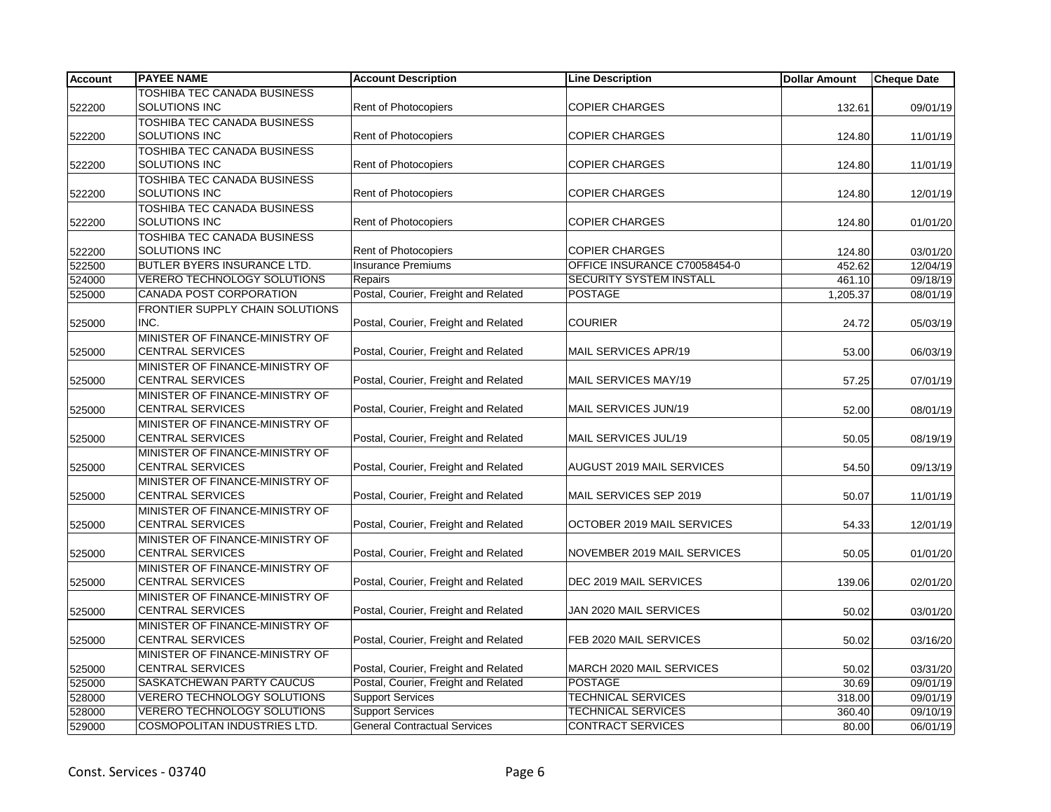| <b>Account</b> | <b>PAYEE NAME</b>                                   | <b>Account Description</b>                        | <b>Line Description</b>                               | <b>Dollar Amount</b> | Cheque Date          |
|----------------|-----------------------------------------------------|---------------------------------------------------|-------------------------------------------------------|----------------------|----------------------|
|                | TOSHIBA TEC CANADA BUSINESS                         |                                                   |                                                       |                      |                      |
| 522200         | SOLUTIONS INC                                       | <b>Rent of Photocopiers</b>                       | <b>COPIER CHARGES</b>                                 | 132.61               | 09/01/19             |
|                | <b>TOSHIBA TEC CANADA BUSINESS</b>                  |                                                   |                                                       |                      |                      |
| 522200         | SOLUTIONS INC                                       | <b>Rent of Photocopiers</b>                       | <b>COPIER CHARGES</b>                                 | 124.80               | 11/01/19             |
|                | <b>TOSHIBA TEC CANADA BUSINESS</b>                  |                                                   |                                                       |                      |                      |
| 522200         | SOLUTIONS INC                                       | <b>Rent of Photocopiers</b>                       | <b>COPIER CHARGES</b>                                 | 124.80               | 11/01/19             |
|                | <b>TOSHIBA TEC CANADA BUSINESS</b>                  |                                                   |                                                       |                      |                      |
| 522200         | SOLUTIONS INC                                       | Rent of Photocopiers                              | <b>COPIER CHARGES</b>                                 | 124.80               | 12/01/19             |
|                | TOSHIBA TEC CANADA BUSINESS                         |                                                   |                                                       |                      |                      |
| 522200         | SOLUTIONS INC                                       | Rent of Photocopiers                              | <b>COPIER CHARGES</b>                                 | 124.80               | 01/01/20             |
|                | TOSHIBA TEC CANADA BUSINESS<br><b>SOLUTIONS INC</b> |                                                   |                                                       |                      |                      |
| 522200         | <b>BUTLER BYERS INSURANCE LTD.</b>                  | Rent of Photocopiers<br><b>Insurance Premiums</b> | <b>COPIER CHARGES</b><br>OFFICE INSURANCE C70058454-0 | 124.80               | 03/01/20             |
| 522500         | VERERO TECHNOLOGY SOLUTIONS                         | Repairs                                           | <b>SECURITY SYSTEM INSTALL</b>                        | 452.62               | 12/04/19             |
| 524000         | CANADA POST CORPORATION                             | Postal, Courier, Freight and Related              | <b>POSTAGE</b>                                        | 461.10<br>1,205.37   | 09/18/19<br>08/01/19 |
| 525000         | FRONTIER SUPPLY CHAIN SOLUTIONS                     |                                                   |                                                       |                      |                      |
| 525000         | INC.                                                | Postal, Courier, Freight and Related              | <b>COURIER</b>                                        | 24.72                | 05/03/19             |
|                | MINISTER OF FINANCE-MINISTRY OF                     |                                                   |                                                       |                      |                      |
| 525000         | <b>CENTRAL SERVICES</b>                             | Postal, Courier, Freight and Related              | MAIL SERVICES APR/19                                  | 53.00                | 06/03/19             |
|                | MINISTER OF FINANCE-MINISTRY OF                     |                                                   |                                                       |                      |                      |
| 525000         | <b>CENTRAL SERVICES</b>                             | Postal, Courier, Freight and Related              | MAIL SERVICES MAY/19                                  | 57.25                | 07/01/19             |
|                | MINISTER OF FINANCE-MINISTRY OF                     |                                                   |                                                       |                      |                      |
| 525000         | <b>CENTRAL SERVICES</b>                             | Postal, Courier, Freight and Related              | MAIL SERVICES JUN/19                                  | 52.00                | 08/01/19             |
|                | MINISTER OF FINANCE-MINISTRY OF                     |                                                   |                                                       |                      |                      |
| 525000         | <b>CENTRAL SERVICES</b>                             | Postal, Courier, Freight and Related              | MAIL SERVICES JUL/19                                  | 50.05                | 08/19/19             |
|                | MINISTER OF FINANCE-MINISTRY OF                     |                                                   |                                                       |                      |                      |
| 525000         | <b>CENTRAL SERVICES</b>                             | Postal, Courier, Freight and Related              | AUGUST 2019 MAIL SERVICES                             | 54.50                | 09/13/19             |
|                | MINISTER OF FINANCE-MINISTRY OF                     |                                                   |                                                       |                      |                      |
| 525000         | <b>CENTRAL SERVICES</b>                             | Postal, Courier, Freight and Related              | MAIL SERVICES SEP 2019                                | 50.07                | 11/01/19             |
|                | MINISTER OF FINANCE-MINISTRY OF                     |                                                   |                                                       |                      |                      |
| 525000         | <b>CENTRAL SERVICES</b>                             | Postal, Courier, Freight and Related              | OCTOBER 2019 MAIL SERVICES                            | 54.33                | 12/01/19             |
|                | MINISTER OF FINANCE-MINISTRY OF                     |                                                   |                                                       |                      |                      |
| 525000         | <b>CENTRAL SERVICES</b>                             | Postal, Courier, Freight and Related              | NOVEMBER 2019 MAIL SERVICES                           | 50.05                | 01/01/20             |
|                | MINISTER OF FINANCE-MINISTRY OF                     |                                                   |                                                       |                      |                      |
| 525000         | <b>CENTRAL SERVICES</b>                             | Postal, Courier, Freight and Related              | DEC 2019 MAIL SERVICES                                | 139.06               | 02/01/20             |
|                | MINISTER OF FINANCE-MINISTRY OF                     |                                                   |                                                       |                      |                      |
| 525000         | <b>CENTRAL SERVICES</b>                             | Postal, Courier, Freight and Related              | JAN 2020 MAIL SERVICES                                | 50.02                | 03/01/20             |
|                | MINISTER OF FINANCE-MINISTRY OF                     |                                                   |                                                       |                      |                      |
| 525000         | <b>CENTRAL SERVICES</b>                             | Postal, Courier, Freight and Related              | FEB 2020 MAIL SERVICES                                | 50.02                | 03/16/20             |
|                | MINISTER OF FINANCE-MINISTRY OF                     |                                                   |                                                       |                      |                      |
| 525000         | <b>CENTRAL SERVICES</b>                             | Postal, Courier, Freight and Related              | MARCH 2020 MAIL SERVICES                              | 50.02                | 03/31/20             |
| 525000         | SASKATCHEWAN PARTY CAUCUS                           | Postal, Courier, Freight and Related              | <b>POSTAGE</b>                                        | 30.69                | 09/01/19             |
| 528000         | <b>VERERO TECHNOLOGY SOLUTIONS</b>                  | <b>Support Services</b>                           | <b>TECHNICAL SERVICES</b>                             | 318.00               | 09/01/19             |
| 528000         | <b>VERERO TECHNOLOGY SOLUTIONS</b>                  | <b>Support Services</b>                           | <b>TECHNICAL SERVICES</b>                             | 360.40               | 09/10/19             |
| 529000         | <b>COSMOPOLITAN INDUSTRIES LTD.</b>                 | <b>General Contractual Services</b>               | <b>CONTRACT SERVICES</b>                              | 80.00                | 06/01/19             |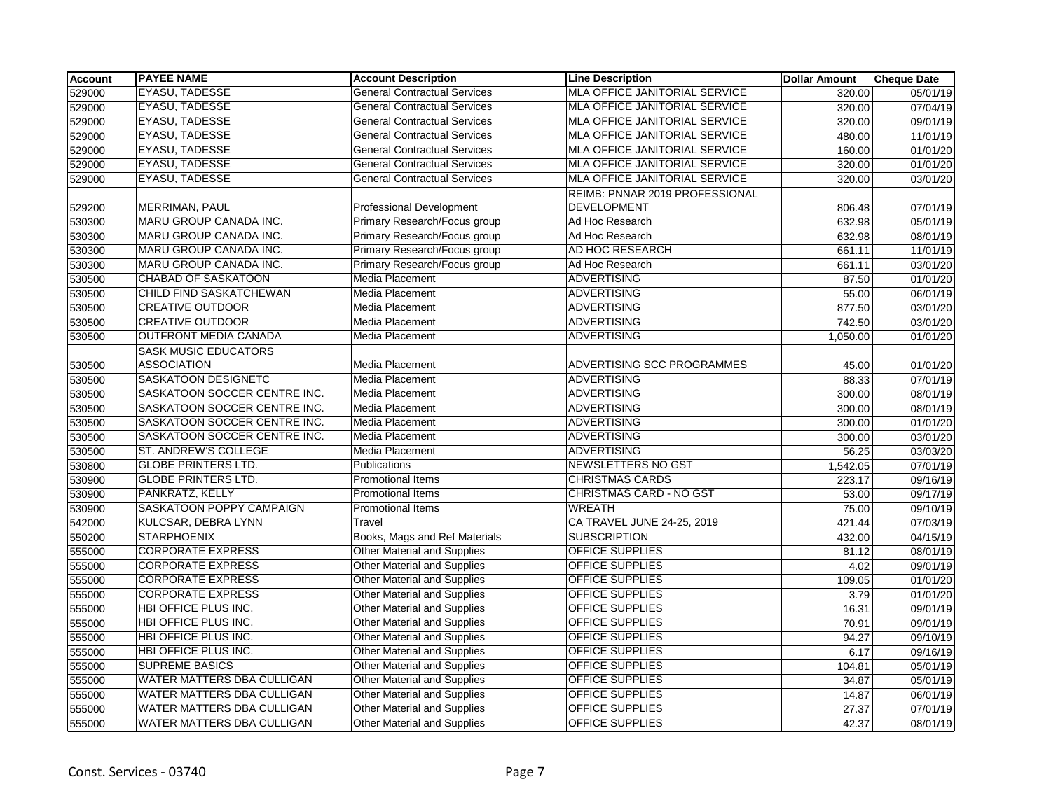| <b>Account</b> | <b>PAYEE NAME</b>                 | <b>Account Description</b>          | <b>Line Description</b>                              | <b>Dollar Amount</b> | <b>Cheque Date</b> |
|----------------|-----------------------------------|-------------------------------------|------------------------------------------------------|----------------------|--------------------|
| 529000         | <b>EYASU, TADESSE</b>             | <b>General Contractual Services</b> | MLA OFFICE JANITORIAL SERVICE                        | 320.00               | 05/01/19           |
| 529000         | <b>EYASU, TADESSE</b>             | <b>General Contractual Services</b> | MLA OFFICE JANITORIAL SERVICE                        | 320.00               | 07/04/19           |
| 529000         | <b>EYASU, TADESSE</b>             | <b>General Contractual Services</b> | MLA OFFICE JANITORIAL SERVICE                        | 320.00               | 09/01/19           |
| 529000         | <b>EYASU, TADESSE</b>             | <b>General Contractual Services</b> | <b>MLA OFFICE JANITORIAL SERVICE</b>                 | 480.00               | 11/01/19           |
| 529000         | <b>EYASU, TADESSE</b>             | <b>General Contractual Services</b> | MLA OFFICE JANITORIAL SERVICE                        | 160.00               | 01/01/20           |
| 529000         | <b>EYASU, TADESSE</b>             | <b>General Contractual Services</b> | MLA OFFICE JANITORIAL SERVICE                        | 320.00               | 01/01/20           |
| 529000         | <b>EYASU, TADESSE</b>             | <b>General Contractual Services</b> | MLA OFFICE JANITORIAL SERVICE                        | 320.00               | 03/01/20           |
| 529200         | MERRIMAN, PAUL                    | <b>Professional Development</b>     | REIMB: PNNAR 2019 PROFESSIONAL<br><b>DEVELOPMENT</b> | 806.48               | 07/01/19           |
| 530300         | MARU GROUP CANADA INC.            | Primary Research/Focus group        | Ad Hoc Research                                      | 632.98               | 05/01/19           |
| 530300         | <b>MARU GROUP CANADA INC.</b>     | Primary Research/Focus group        | Ad Hoc Research                                      | 632.98               | 08/01/19           |
| 530300         | MARU GROUP CANADA INC.            | Primary Research/Focus group        | AD HOC RESEARCH                                      | 661.11               | 11/01/19           |
| 530300         | MARU GROUP CANADA INC.            | Primary Research/Focus group        | Ad Hoc Research                                      | 661.11               | 03/01/20           |
| 530500         | <b>CHABAD OF SASKATOON</b>        | Media Placement                     | <b>ADVERTISING</b>                                   | 87.50                | 01/01/20           |
| 530500         | CHILD FIND SASKATCHEWAN           | <b>Media Placement</b>              | <b>ADVERTISING</b>                                   | 55.00                | 06/01/19           |
| 530500         | <b>CREATIVE OUTDOOR</b>           | Media Placement                     | <b>ADVERTISING</b>                                   | 877.50               | 03/01/20           |
| 530500         | <b>CREATIVE OUTDOOR</b>           | Media Placement                     | <b>ADVERTISING</b>                                   | 742.50               | 03/01/20           |
| 530500         | <b>OUTFRONT MEDIA CANADA</b>      | Media Placement                     | <b>ADVERTISING</b>                                   | 1,050.00             | 01/01/20           |
|                | <b>SASK MUSIC EDUCATORS</b>       |                                     |                                                      |                      |                    |
| 530500         | <b>ASSOCIATION</b>                | Media Placement                     | ADVERTISING SCC PROGRAMMES                           | 45.00                | 01/01/20           |
| 530500         | <b>SASKATOON DESIGNETC</b>        | Media Placement                     | <b>ADVERTISING</b>                                   | 88.33                | 07/01/19           |
| 530500         | SASKATOON SOCCER CENTRE INC.      | Media Placement                     | <b>ADVERTISING</b>                                   | 300.00               | 08/01/19           |
| 530500         | SASKATOON SOCCER CENTRE INC.      | Media Placement                     | <b>ADVERTISING</b>                                   | 300.00               | 08/01/19           |
| 530500         | SASKATOON SOCCER CENTRE INC.      | Media Placement                     | <b>ADVERTISING</b>                                   | 300.00               | 01/01/20           |
| 530500         | SASKATOON SOCCER CENTRE INC.      | Media Placement                     | <b>ADVERTISING</b>                                   | 300.00               | 03/01/20           |
| 530500         | ST. ANDREW'S COLLEGE              | Media Placement                     | <b>ADVERTISING</b>                                   | 56.25                | 03/03/20           |
| 530800         | <b>GLOBE PRINTERS LTD.</b>        | Publications                        | <b>NEWSLETTERS NO GST</b>                            | 1,542.05             | 07/01/19           |
| 530900         | <b>GLOBE PRINTERS LTD.</b>        | <b>Promotional Items</b>            | <b>CHRISTMAS CARDS</b>                               | 223.17               | 09/16/19           |
| 530900         | PANKRATZ, KELLY                   | Promotional Items                   | CHRISTMAS CARD - NO GST                              | 53.00                | 09/17/19           |
| 530900         | SASKATOON POPPY CAMPAIGN          | Promotional Items                   | <b>WREATH</b>                                        | 75.00                | 09/10/19           |
| 542000         | KULCSAR, DEBRA LYNN               | Travel                              | CA TRAVEL JUNE 24-25, 2019                           | 421.44               | 07/03/19           |
| 550200         | <b>STARPHOENIX</b>                | Books, Mags and Ref Materials       | <b>SUBSCRIPTION</b>                                  | 432.00               | 04/15/19           |
| 555000         | <b>CORPORATE EXPRESS</b>          | Other Material and Supplies         | OFFICE SUPPLIES                                      | 81.12                | 08/01/19           |
| 555000         | <b>CORPORATE EXPRESS</b>          | <b>Other Material and Supplies</b>  | <b>OFFICE SUPPLIES</b>                               | 4.02                 | 09/01/19           |
| 555000         | <b>CORPORATE EXPRESS</b>          | <b>Other Material and Supplies</b>  | OFFICE SUPPLIES                                      | 109.05               | 01/01/20           |
| 555000         | <b>CORPORATE EXPRESS</b>          | <b>Other Material and Supplies</b>  | OFFICE SUPPLIES                                      | 3.79                 | 01/01/20           |
| 555000         | <b>HBI OFFICE PLUS INC.</b>       | <b>Other Material and Supplies</b>  | <b>OFFICE SUPPLIES</b>                               | 16.31                | 09/01/19           |
| 555000         | <b>HBI OFFICE PLUS INC.</b>       | <b>Other Material and Supplies</b>  | <b>OFFICE SUPPLIES</b>                               | 70.91                | 09/01/19           |
| 555000         | <b>HBI OFFICE PLUS INC.</b>       | <b>Other Material and Supplies</b>  | OFFICE SUPPLIES                                      | 94.27                | 09/10/19           |
| 555000         | <b>HBI OFFICE PLUS INC.</b>       | <b>Other Material and Supplies</b>  | OFFICE SUPPLIES                                      | 6.17                 | 09/16/19           |
| 555000         | <b>SUPREME BASICS</b>             | <b>Other Material and Supplies</b>  | OFFICE SUPPLIES                                      | 104.81               | 05/01/19           |
| 555000         | <b>WATER MATTERS DBA CULLIGAN</b> | <b>Other Material and Supplies</b>  | <b>OFFICE SUPPLIES</b>                               | 34.87                | 05/01/19           |
| 555000         | WATER MATTERS DBA CULLIGAN        | <b>Other Material and Supplies</b>  | <b>OFFICE SUPPLIES</b>                               | 14.87                | 06/01/19           |
| 555000         | <b>WATER MATTERS DBA CULLIGAN</b> | Other Material and Supplies         | OFFICE SUPPLIES                                      | 27.37                | 07/01/19           |
| 555000         | WATER MATTERS DBA CULLIGAN        | <b>Other Material and Supplies</b>  | OFFICE SUPPLIES                                      | 42.37                | 08/01/19           |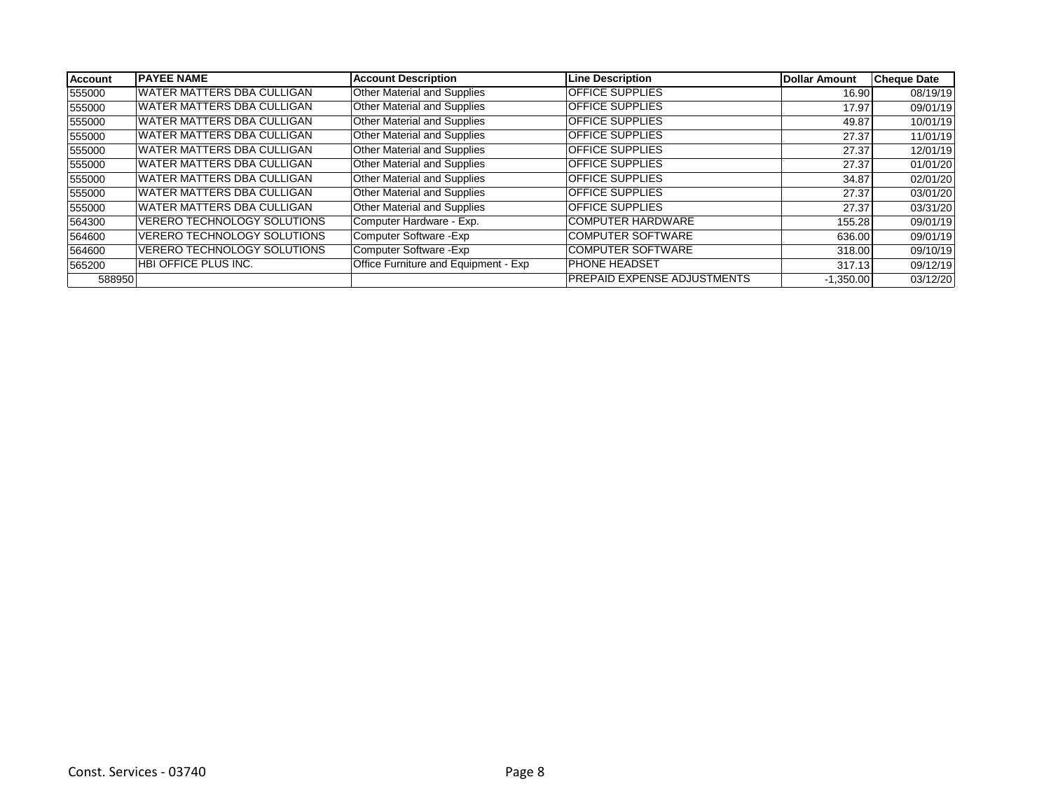| <b>Account</b> | <b>PAYEE NAME</b>                  | <b>Account Description</b>           | <b>Line Description</b>             | Dollar Amount | <b>Cheque Date</b> |
|----------------|------------------------------------|--------------------------------------|-------------------------------------|---------------|--------------------|
| 555000         | WATER MATTERS DBA CULLIGAN         | <b>Other Material and Supplies</b>   | <b>OFFICE SUPPLIES</b>              | 16.90         | 08/19/19           |
| 555000         | IWATER MATTERS DBA CULLIGAN        | Other Material and Supplies          | <b>OFFICE SUPPLIES</b>              | 17.97         | 09/01/19           |
| 555000         | IWATER MATTERS DBA CULLIGAN        | <b>Other Material and Supplies</b>   | <b>OFFICE SUPPLIES</b>              | 49.87         | 10/01/19           |
| 555000         | WATER MATTERS DBA CULLIGAN         | Other Material and Supplies          | <b>OFFICE SUPPLIES</b>              | 27.37         | 11/01/19           |
| 555000         | IWATER MATTERS DBA CULLIGAN        | Other Material and Supplies          | <b>OFFICE SUPPLIES</b>              | 27.37         | 12/01/19           |
| 555000         | WATER MATTERS DBA CULLIGAN         | <b>Other Material and Supplies</b>   | <b>OFFICE SUPPLIES</b>              | 27.37         | 01/01/20           |
| 555000         | IWATER MATTERS DBA CULLIGAN        | <b>Other Material and Supplies</b>   | <b>OFFICE SUPPLIES</b>              | 34.87         | 02/01/20           |
| 555000         | WATER MATTERS DBA CULLIGAN         | <b>Other Material and Supplies</b>   | <b>OFFICE SUPPLIES</b>              | 27.37         | 03/01/20           |
| 555000         | IWATER MATTERS DBA CULLIGAN        | <b>Other Material and Supplies</b>   | <b>OFFICE SUPPLIES</b>              | 27.37         | 03/31/20           |
| 564300         | VERERO TECHNOLOGY SOLUTIONS        | Computer Hardware - Exp.             | <b>COMPUTER HARDWARE</b>            | 155.28        | 09/01/19           |
| 564600         | <b>VERERO TECHNOLOGY SOLUTIONS</b> | Computer Software - Exp              | <b>COMPUTER SOFTWARE</b>            | 636.00        | 09/01/19           |
| 564600         | <b>VERERO TECHNOLOGY SOLUTIONS</b> | Computer Software - Exp              | <b>COMPUTER SOFTWARE</b>            | 318.00        | 09/10/19           |
| 565200         | HBI OFFICE PLUS INC.               | Office Furniture and Equipment - Exp | <b>IPHONE HEADSET</b>               | 317.13        | 09/12/19           |
| 588950         |                                    |                                      | <b>IPREPAID EXPENSE ADJUSTMENTS</b> | $-1,350.00$   | 03/12/20           |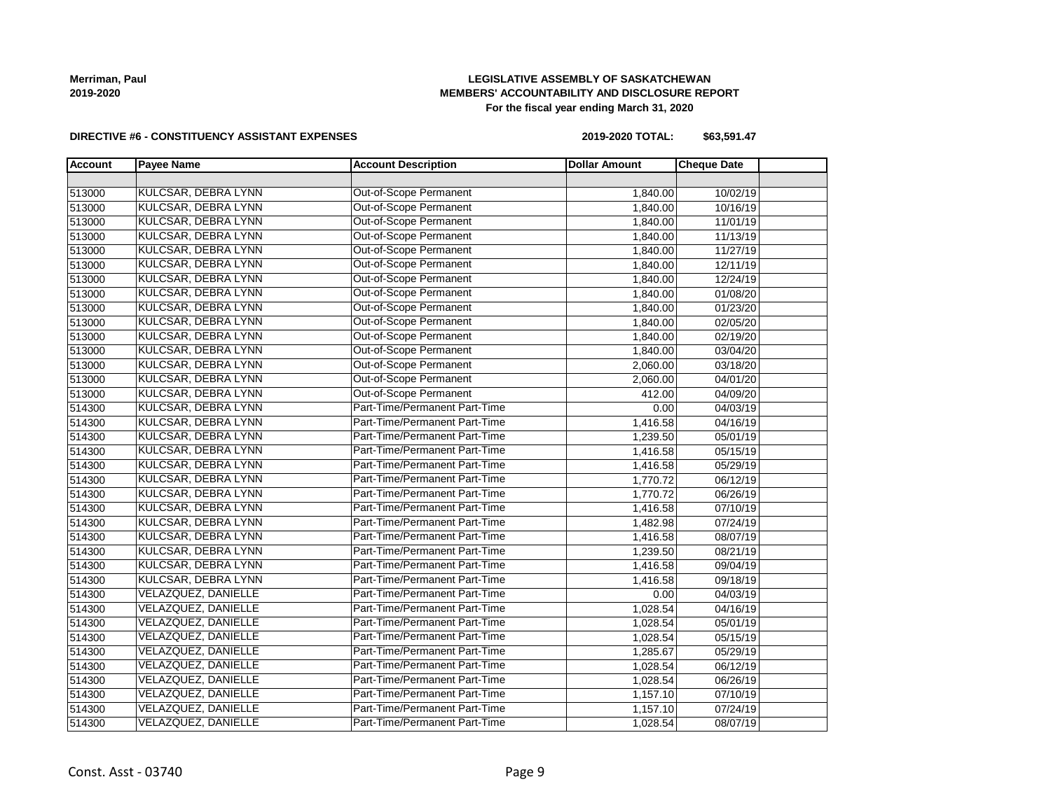# **LEGISLATIVE ASSEMBLY OF SASKATCHEWAN MEMBERS' ACCOUNTABILITY AND DISCLOSURE REPORT For the fiscal year ending March 31, 2020**

#### **DIRECTIVE #6 - CONSTITUENCY ASSISTANT EXPENSES**

**2019-2020 TOTAL: \$63,591.47**

| <b>Account</b> | <b>Payee Name</b>          | <b>Account Description</b>    | <b>Dollar Amount</b> | <b>Cheque Date</b> |  |
|----------------|----------------------------|-------------------------------|----------------------|--------------------|--|
|                |                            |                               |                      |                    |  |
| 513000         | <b>KULCSAR, DEBRA LYNN</b> | Out-of-Scope Permanent        | 1,840.00             | 10/02/19           |  |
| 513000         | KULCSAR, DEBRA LYNN        | Out-of-Scope Permanent        | 1,840.00             | 10/16/19           |  |
| 513000         | KULCSAR, DEBRA LYNN        | Out-of-Scope Permanent        | 1,840.00             | 11/01/19           |  |
| 513000         | KULCSAR, DEBRA LYNN        | Out-of-Scope Permanent        | 1,840.00             | 11/13/19           |  |
| 513000         | KULCSAR, DEBRA LYNN        | Out-of-Scope Permanent        | 1,840.00             | 11/27/19           |  |
| 513000         | KULCSAR, DEBRA LYNN        | Out-of-Scope Permanent        | 1,840.00             | 12/11/19           |  |
| 513000         | KULCSAR, DEBRA LYNN        | Out-of-Scope Permanent        | 1,840.00             | 12/24/19           |  |
| 513000         | KULCSAR, DEBRA LYNN        | Out-of-Scope Permanent        | 1,840.00             | 01/08/20           |  |
| 513000         | <b>KULCSAR, DEBRA LYNN</b> | Out-of-Scope Permanent        | 1,840.00             | 01/23/20           |  |
| 513000         | <b>KULCSAR, DEBRA LYNN</b> | Out-of-Scope Permanent        | 1,840.00             | 02/05/20           |  |
| 513000         | <b>KULCSAR, DEBRA LYNN</b> | Out-of-Scope Permanent        | 1,840.00             | 02/19/20           |  |
| 513000         | KULCSAR, DEBRA LYNN        | Out-of-Scope Permanent        | 1,840.00             | 03/04/20           |  |
| 513000         | <b>KULCSAR, DEBRA LYNN</b> | Out-of-Scope Permanent        | 2,060.00             | 03/18/20           |  |
| 513000         | KULCSAR, DEBRA LYNN        | Out-of-Scope Permanent        | 2,060.00             | 04/01/20           |  |
| 513000         | <b>KULCSAR, DEBRA LYNN</b> | Out-of-Scope Permanent        | 412.00               | 04/09/20           |  |
| 514300         | KULCSAR, DEBRA LYNN        | Part-Time/Permanent Part-Time | 0.00                 | 04/03/19           |  |
| 514300         | KULCSAR, DEBRA LYNN        | Part-Time/Permanent Part-Time | 1,416.58             | 04/16/19           |  |
| 514300         | KULCSAR, DEBRA LYNN        | Part-Time/Permanent Part-Time | 1,239.50             | 05/01/19           |  |
| 514300         | KULCSAR, DEBRA LYNN        | Part-Time/Permanent Part-Time | 1,416.58             | 05/15/19           |  |
| 514300         | <b>KULCSAR, DEBRA LYNN</b> | Part-Time/Permanent Part-Time | 1,416.58             | 05/29/19           |  |
| 514300         | KULCSAR, DEBRA LYNN        | Part-Time/Permanent Part-Time | 1,770.72             | 06/12/19           |  |
| 514300         | KULCSAR, DEBRA LYNN        | Part-Time/Permanent Part-Time | 1,770.72             | 06/26/19           |  |
| 514300         | KULCSAR, DEBRA LYNN        | Part-Time/Permanent Part-Time | 1,416.58             | 07/10/19           |  |
| 514300         | KULCSAR, DEBRA LYNN        | Part-Time/Permanent Part-Time | 1,482.98             | 07/24/19           |  |
| 514300         | KULCSAR, DEBRA LYNN        | Part-Time/Permanent Part-Time | 1,416.58             | 08/07/19           |  |
| 514300         | KULCSAR, DEBRA LYNN        | Part-Time/Permanent Part-Time | 1,239.50             | 08/21/19           |  |
| 514300         | KULCSAR, DEBRA LYNN        | Part-Time/Permanent Part-Time | 1,416.58             | 09/04/19           |  |
| 514300         | KULCSAR, DEBRA LYNN        | Part-Time/Permanent Part-Time | 1,416.58             | 09/18/19           |  |
| 514300         | VELAZQUEZ, DANIELLE        | Part-Time/Permanent Part-Time | 0.00                 | 04/03/19           |  |
| 514300         | <b>VELAZQUEZ, DANIELLE</b> | Part-Time/Permanent Part-Time | 1,028.54             | 04/16/19           |  |
| 514300         | <b>VELAZQUEZ, DANIELLE</b> | Part-Time/Permanent Part-Time | 1,028.54             | 05/01/19           |  |
| 514300         | VELAZQUEZ, DANIELLE        | Part-Time/Permanent Part-Time | 1,028.54             | 05/15/19           |  |
| 514300         | <b>VELAZQUEZ, DANIELLE</b> | Part-Time/Permanent Part-Time | 1,285.67             | 05/29/19           |  |
| 514300         | <b>VELAZQUEZ, DANIELLE</b> | Part-Time/Permanent Part-Time | 1,028.54             | 06/12/19           |  |
| 514300         | <b>VELAZQUEZ, DANIELLE</b> | Part-Time/Permanent Part-Time | 1,028.54             | 06/26/19           |  |
| 514300         | VELAZQUEZ, DANIELLE        | Part-Time/Permanent Part-Time | 1,157.10             | 07/10/19           |  |
| 514300         | VELAZQUEZ, DANIELLE        | Part-Time/Permanent Part-Time | 1,157.10             | 07/24/19           |  |
| 514300         | <b>VELAZQUEZ, DANIELLE</b> | Part-Time/Permanent Part-Time | 1,028.54             | 08/07/19           |  |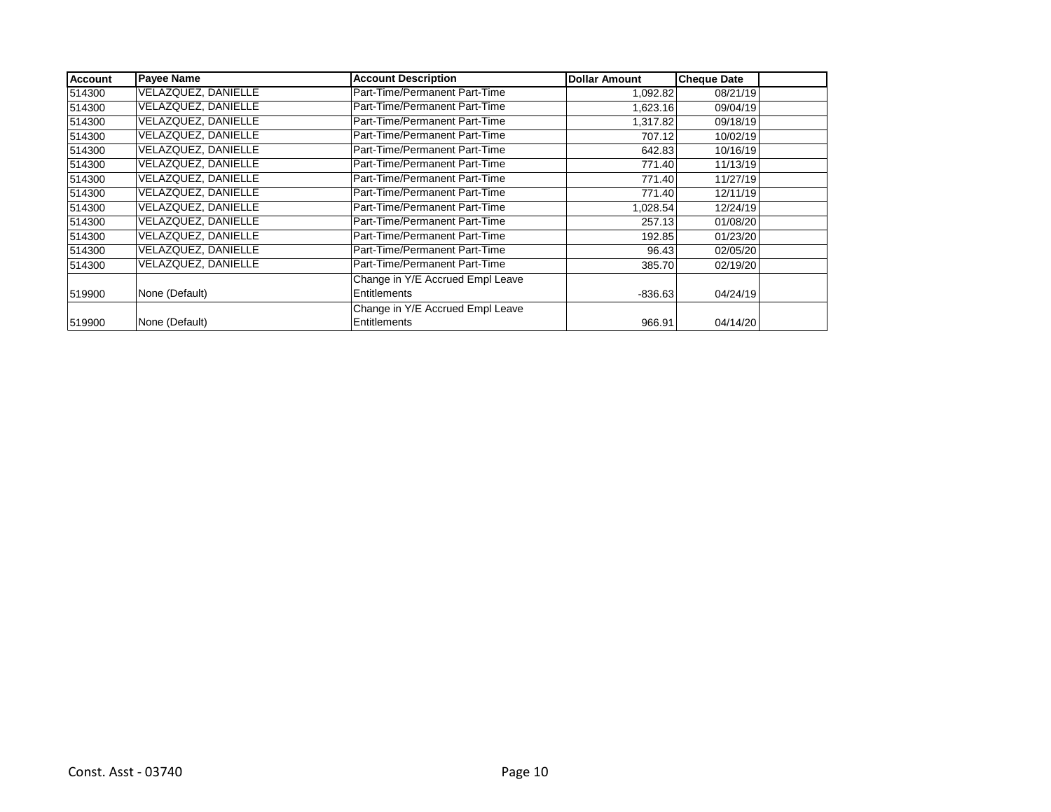| <b>Account</b> | <b>Payee Name</b>          | <b>Account Description</b>       | <b>Dollar Amount</b> | <b>Cheque Date</b> |  |
|----------------|----------------------------|----------------------------------|----------------------|--------------------|--|
| 514300         | <b>VELAZQUEZ, DANIELLE</b> | Part-Time/Permanent Part-Time    | 1,092.82             | 08/21/19           |  |
| 514300         | <b>VELAZQUEZ, DANIELLE</b> | Part-Time/Permanent Part-Time    | 1,623.16             | 09/04/19           |  |
| 514300         | VELAZQUEZ, DANIELLE        | Part-Time/Permanent Part-Time    | 1,317.82             | 09/18/19           |  |
| 514300         | VELAZQUEZ, DANIELLE        | Part-Time/Permanent Part-Time    | 707.12               | 10/02/19           |  |
| 514300         | VELAZQUEZ, DANIELLE        | Part-Time/Permanent Part-Time    | 642.83               | 10/16/19           |  |
| 514300         | VELAZQUEZ, DANIELLE        | Part-Time/Permanent Part-Time    | 771.40               | 11/13/19           |  |
| 514300         | VELAZQUEZ, DANIELLE        | Part-Time/Permanent Part-Time    | 771.40               | 11/27/19           |  |
| 514300         | VELAZQUEZ, DANIELLE        | Part-Time/Permanent Part-Time    | 771.40               | 12/11/19           |  |
| 514300         | VELAZQUEZ, DANIELLE        | Part-Time/Permanent Part-Time    | 1,028.54             | 12/24/19           |  |
| 514300         | VELAZQUEZ, DANIELLE        | Part-Time/Permanent Part-Time    | 257.13               | 01/08/20           |  |
| 514300         | VELAZQUEZ, DANIELLE        | Part-Time/Permanent Part-Time    | 192.85               | 01/23/20           |  |
| 514300         | VELAZQUEZ, DANIELLE        | Part-Time/Permanent Part-Time    | 96.43                | 02/05/20           |  |
| 514300         | VELAZQUEZ, DANIELLE        | Part-Time/Permanent Part-Time    | 385.70               | 02/19/20           |  |
|                |                            | Change in Y/E Accrued Empl Leave |                      |                    |  |
| 519900         | None (Default)             | Entitlements                     | $-836.63$            | 04/24/19           |  |
|                |                            | Change in Y/E Accrued Empl Leave |                      |                    |  |
| 519900         | None (Default)             | Entitlements                     | 966.91               | 04/14/20           |  |